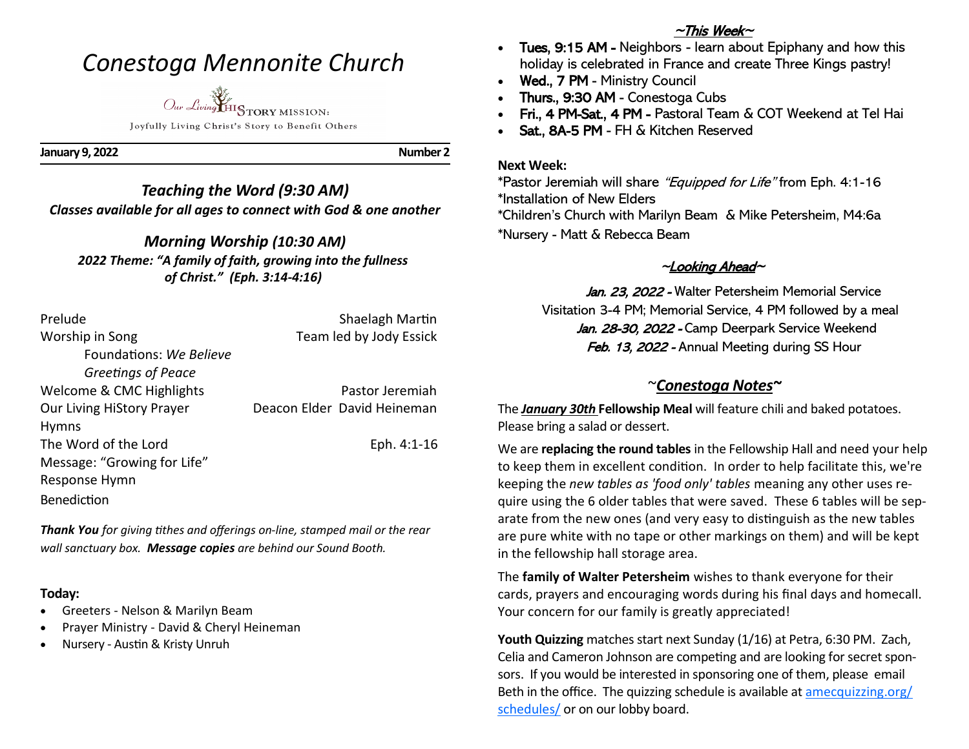# *Conestoga Mennonite Church*



Joyfully Living Christ's Story to Benefit Others

**January 9, 2022** Number 2

### *Teaching the Word (9:30 AM) Classes available for all ages to connect with God & one another*

# *Morning Worship (10:30 AM)*

*2022 Theme: "A family of faith, growing into the fullness of Christ." (Eph. 3:14-4:16)*

| Prelude                     | Shaelagh Martin             |
|-----------------------------|-----------------------------|
| Worship in Song             | Team led by Jody Essick     |
| Foundations: We Believe     |                             |
| Greetings of Peace          |                             |
| Welcome & CMC Highlights    | Pastor Jeremiah             |
| Our Living HiStory Prayer   | Deacon Elder David Heineman |
| <b>Hymns</b>                |                             |
| The Word of the Lord        | Eph. 4:1-16                 |
| Message: "Growing for Life" |                             |
| Response Hymn               |                             |
| <b>Benediction</b>          |                             |

*Thank You for giving tithes and offerings on-line, stamped mail or the rear wall sanctuary box. Message copies are behind our Sound Booth.*

#### **Today:**

- Greeters Nelson & Marilyn Beam
- Prayer Ministry David & Cheryl Heineman
- Nursery Austin & Kristy Unruh

### $~\sim$ This Week $\sim$

- Tues, 9:15 AM Neighbors learn about Epiphany and how this holiday is celebrated in France and create Three Kings pastry!
- Wed., 7 PM Ministry Council
- Thurs., 9:30 AM Conestoga Cubs
- Fri., 4 PM-Sat., 4 PM Pastoral Team & COT Weekend at Tel Hai
- Sat., 8A-5 PM FH & Kitchen Reserved

#### **Next Week:**

\*Pastor Jeremiah will share "Equipped for Life" from Eph. 4:1-16 \*Installation of New Elders \*Children's Church with Marilyn Beam & Mike Petersheim, M4:6a \*Nursery - Matt & Rebecca Beam

## ~Looking Ahead~

Jan. 23, 2022 - Walter Petersheim Memorial Service Visitation 3-4 PM; Memorial Service, 4 PM followed by a meal Jan. 28-30, 2022 - Camp Deerpark Service Weekend Feb. 13, 2022 - Annual Meeting during SS Hour

# ~*Conestoga Notes~*

The *January 30th* **Fellowship Meal** will feature chili and baked potatoes. Please bring a salad or dessert.

We are **replacing the round tables** in the Fellowship Hall and need your help to keep them in excellent condition. In order to help facilitate this, we're keeping the *new tables as 'food only' tables* meaning any other uses require using the 6 older tables that were saved. These 6 tables will be separate from the new ones (and very easy to distinguish as the new tables are pure white with no tape or other markings on them) and will be kept in the fellowship hall storage area.

The **family of Walter Petersheim** wishes to thank everyone for their cards, prayers and encouraging words during his final days and homecall. Your concern for our family is greatly appreciated!

**Youth Quizzing** matches start next Sunday (1/16) at Petra, 6:30 PM. Zach, Celia and Cameron Johnson are competing and are looking for secret sponsors. If you would be interested in sponsoring one of them, please email Beth in the office. The quizzing schedule is available at [amecquizzing.org/](https://amecquizzing.org/schedules/) [schedules/](https://amecquizzing.org/schedules/) or on our lobby board.